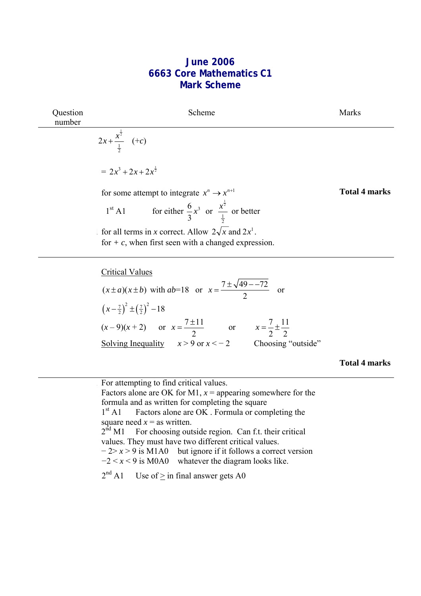## **June 2006 6663 Core Mathematics C1 Mark Scheme**

| Question<br>number | Scheme                                                                                                               | <b>Marks</b>         |
|--------------------|----------------------------------------------------------------------------------------------------------------------|----------------------|
|                    | $2x + \frac{x^{\frac{1}{2}}}{\frac{1}{2}}$ (+c)                                                                      |                      |
|                    | $= 2x^3 + 2x + 2x^{\frac{1}{2}}$                                                                                     |                      |
|                    | for some attempt to integrate $x^n \to x^{n+1}$                                                                      | <b>Total 4 marks</b> |
|                    | 1 <sup>st</sup> A1 for either $\frac{6}{3}x^3$ or $\frac{x^{\frac{1}{2}}}{\frac{1}{2}}$ or better                    |                      |
|                    | for all terms in x correct. Allow $2\sqrt{x}$ and $2x^1$ .<br>for $+ c$ , when first seen with a changed expression. |                      |
|                    | <b>Critical Values</b><br>$(x \pm a)(x \pm b)$ with $ab=18$ or $x = \frac{7 \pm \sqrt{49 - 72}}{2}$ or               |                      |
|                    | $\left(x-\frac{7}{2}\right)^2 \pm \left(\frac{7}{2}\right)^2 - 18$                                                   |                      |
|                    | $(x-9)(x+2)$ or $x = \frac{7 \pm 11}{2}$ or $x = \frac{7}{2} \pm \frac{11}{2}$                                       |                      |
|                    | Solving Inequality $x > 9$ or $x < -2$ Choosing "outside"                                                            |                      |
|                    |                                                                                                                      | Total 4 marks        |

1 For attempting to find critical values. Factors alone are OK for M1,  $x =$  appearing somewhere for the formula and as written for completing the square  $1<sup>st</sup>$  A1 Factors alone are OK . Formula or completing the square need  $x =$  as written.<br> $2<sup>nd</sup> M1$  For choosing out For choosing outside region. Can f.t. their critical values. They must have two different critical values. − 2> *x* > 9 is M1A0 but ignore if it follows a correct version  $-2 < x < 9$  is M0A0 whatever the diagram looks like.

 $2<sup>nd</sup>$  A1 Use of > in final answer gets A0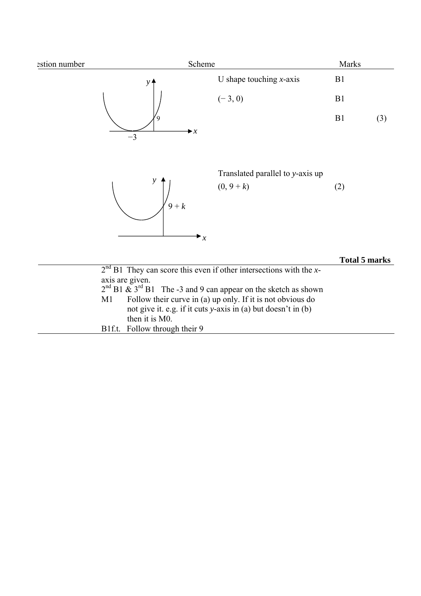| estion number | Scheme                                                                                                                                                                                                                        |                                                                                                                             | Marks                |     |
|---------------|-------------------------------------------------------------------------------------------------------------------------------------------------------------------------------------------------------------------------------|-----------------------------------------------------------------------------------------------------------------------------|----------------------|-----|
|               | у                                                                                                                                                                                                                             | U shape touching $x$ -axis                                                                                                  | B1                   |     |
|               |                                                                                                                                                                                                                               | $(-3, 0)$                                                                                                                   | B1                   |     |
|               | $\blacktriangleright x$<br>$-3$                                                                                                                                                                                               |                                                                                                                             | B1                   | (3) |
|               | y<br>$9+k$<br>$\mathbf{r}_x$                                                                                                                                                                                                  | Translated parallel to y-axis up<br>$(0, 9+k)$                                                                              | (2)                  |     |
|               |                                                                                                                                                                                                                               |                                                                                                                             | <b>Total 5 marks</b> |     |
|               | $2nd$ B1. They can score this even if other intersections with the x-<br>axis are given.<br>$2^{nd}$ B1 & $3^{rd}$ B1 The -3 and 9 can appear on the sketch as shown<br>M1<br>then it is M0.<br>B1f.t. Follow through their 9 | Follow their curve in (a) up only. If it is not obvious do<br>not give it. e.g. if it cuts y-axis in (a) but doesn't in (b) |                      |     |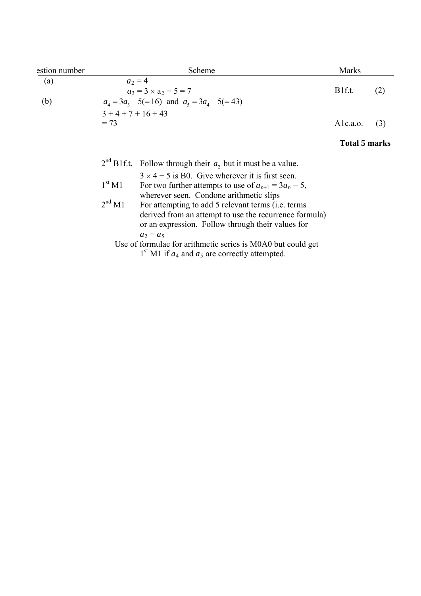| estion number |                    | Scheme                                                                                                               | <b>Marks</b>         |     |
|---------------|--------------------|----------------------------------------------------------------------------------------------------------------------|----------------------|-----|
| (a)           |                    | $a_2 = 4$<br>$a_3 = 3 \times a_2 - 5 = 7$                                                                            | B <sub>1f.t.</sub>   | (2) |
| (b)           |                    | $a_4 = 3a_3 - 5(=16)$ and $a_5 = 3a_4 - 5(=43)$                                                                      |                      |     |
|               | $3+4+7+16+43$      |                                                                                                                      |                      |     |
|               | $= 73$             |                                                                                                                      | Alc.a.o.             | (3) |
|               |                    |                                                                                                                      | <b>Total 5 marks</b> |     |
|               |                    | $2nd B1f.t.$ Follow through their $a_2$ but it must be a value.                                                      |                      |     |
|               |                    | $3 \times 4 - 5$ is B0. Give wherever it is first seen.                                                              |                      |     |
|               | 1 <sup>st</sup> M1 | For two further attempts to use of $a_{n+1} = 3a_n - 5$ ,<br>wherever seen. Condone arithmetic slips                 |                      |     |
|               | 2 <sup>nd</sup> M1 | For attempting to add 5 relevant terms ( <i>i.e.</i> terms<br>derived from an attempt to use the recurrence formula) |                      |     |

or an expression. Follow through their values for  $a_2 - a_5$ Use of formulae for arithmetic series is M0A0 but could get

 $1<sup>st</sup>$  M1 if  $a<sub>4</sub>$  and  $a<sub>5</sub>$  are correctly attempted.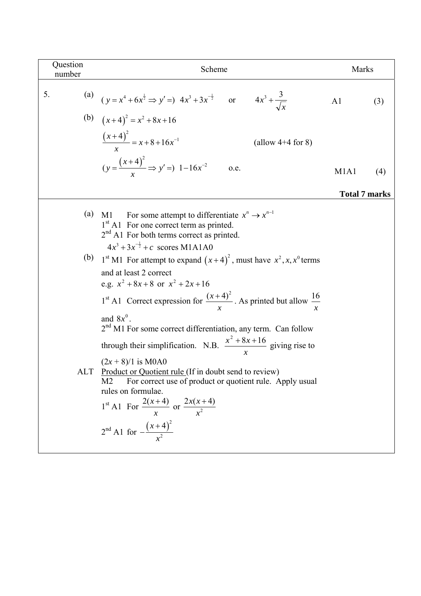| Question<br>number | Scheme                                                                                                                                                                                                                                                                                                                                                                                                                                                                                                                                                                                                                                     | <b>Marks</b>                  |     |
|--------------------|--------------------------------------------------------------------------------------------------------------------------------------------------------------------------------------------------------------------------------------------------------------------------------------------------------------------------------------------------------------------------------------------------------------------------------------------------------------------------------------------------------------------------------------------------------------------------------------------------------------------------------------------|-------------------------------|-----|
| 5.                 | (a) $(y = x^4 + 6x^{\frac{1}{2}} \Rightarrow y' =) 4x^3 + 3x^{-\frac{1}{2}}$ or $4x^3 + \frac{3}{\sqrt{x}}$                                                                                                                                                                                                                                                                                                                                                                                                                                                                                                                                | AA1                           | (3) |
|                    | (b) $(x+4)^2 = x^2 + 8x + 16$                                                                                                                                                                                                                                                                                                                                                                                                                                                                                                                                                                                                              |                               |     |
|                    | $\frac{(x+4)^2}{x} = x+8+16x^{-1}$<br>(allow $4+4$ for 8)                                                                                                                                                                                                                                                                                                                                                                                                                                                                                                                                                                                  |                               |     |
|                    | $(y = \frac{(x+4)^2}{x} \Rightarrow y' = 1 - 16x^{-2}$<br>0.e.                                                                                                                                                                                                                                                                                                                                                                                                                                                                                                                                                                             | M <sub>1</sub> A <sub>1</sub> | (4) |
|                    |                                                                                                                                                                                                                                                                                                                                                                                                                                                                                                                                                                                                                                            | <b>Total 7 marks</b>          |     |
| (a)                | M1 For some attempt to differentiate $x^n \to x^{n-1}$<br>1 <sup>st</sup> A1 For one correct term as printed.<br>2 <sup>nd</sup> A1 For both terms correct as printed.<br>$4x^3 + 3x^{-\frac{1}{2}} + c$ scores M1A1A0                                                                                                                                                                                                                                                                                                                                                                                                                     |                               |     |
| (b)<br>ALT         | 1 <sup>st</sup> M1 For attempt to expand $(x+4)^2$ , must have $x^2$ , x, x <sup>0</sup> terms<br>and at least 2 correct<br>e.g. $x^2 + 8x + 8$ or $x^2 + 2x + 16$<br>1 <sup>st</sup> A1 Correct expression for $\frac{(x+4)^2}{x}$ . As printed but allow $\frac{16}{x}$<br>and $8x^0$ .<br>2 <sup>nd</sup> M1 For some correct differentiation, any term. Can follow<br>through their simplification. N.B. $\frac{x^2 + 8x + 16}{x}$ giving rise to<br>$(2x + 8)/1$ is M0A0<br>Product or Quotient rule (If in doubt send to review)<br>M <sub>2</sub><br>For correct use of product or quotient rule. Apply usual<br>rules on formulae. |                               |     |
|                    | 1 <sup>st</sup> A1 For $\frac{2(x+4)}{x}$ or $\frac{2x(x+4)}{x^2}$<br>$2^{nd}$ A1 for $-\frac{(x+4)^2}{x^2}$                                                                                                                                                                                                                                                                                                                                                                                                                                                                                                                               |                               |     |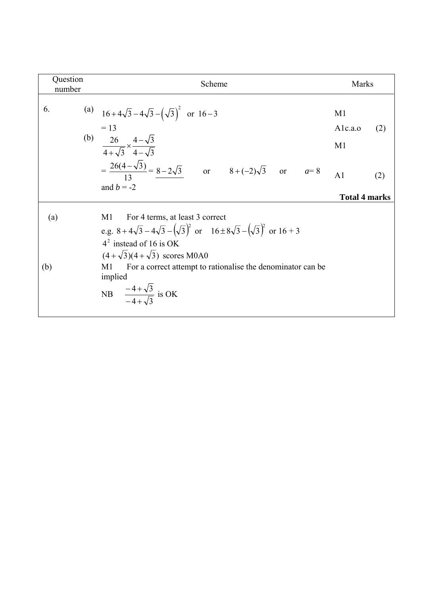| Question<br>number | Scheme                                                                                                                                                                                                                                                                                                                                        | <b>Marks</b>                            |
|--------------------|-----------------------------------------------------------------------------------------------------------------------------------------------------------------------------------------------------------------------------------------------------------------------------------------------------------------------------------------------|-----------------------------------------|
| 6.                 | (a) $16+4\sqrt{3}-4\sqrt{3}-(\sqrt{3})^2$ or $16-3$<br>$= 13$                                                                                                                                                                                                                                                                                 | M <sub>1</sub><br>Alc.a.o<br>(2)        |
|                    | (b) $\frac{26}{4+\sqrt{3}} \times \frac{4-\sqrt{3}}{4-\sqrt{3}}$<br>$=\frac{26(4-\sqrt{3})}{13} = \frac{8-2\sqrt{3}}{8}$ or $8+(-2)\sqrt{3}$ or $a=8$<br>and $b = -2$                                                                                                                                                                         | M <sub>1</sub><br>A <sub>1</sub><br>(2) |
| (a)<br>(b)         | For 4 terms, at least 3 correct<br>M1<br>e.g. $8 + 4\sqrt{3} - 4\sqrt{3} - (\sqrt{3})^2$ or $16 \pm 8\sqrt{3} - (\sqrt{3})^2$ or $16 + 3$<br>$42$ instead of 16 is OK<br>$(4+\sqrt{3})(4+\sqrt{3})$ scores M0A0<br>For a correct attempt to rationalise the denominator can be<br>M1<br>implied<br>NB $\frac{-4+\sqrt{3}}{-4+\sqrt{3}}$ is OK | <b>Total 4 marks</b>                    |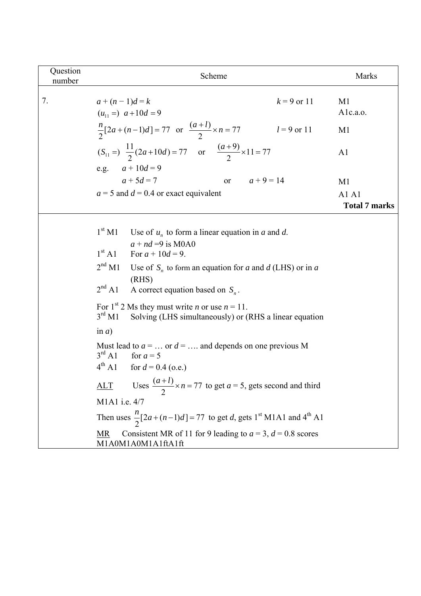| Question<br>number | Scheme                                                                                                                                              | Marks                         |
|--------------------|-----------------------------------------------------------------------------------------------------------------------------------------------------|-------------------------------|
| 7.                 | $k = 9$ or 11<br>$a + (n-1)d = k$<br>$(u_{11} =) a + 10d = 9$                                                                                       | M1<br>Alc.a.o.                |
|                    | $\frac{n}{2}[2a + (n-1)d] = 77$ or $\frac{(a+l)}{2} \times n = 77$<br>$l = 9$ or 11                                                                 | M <sub>1</sub>                |
|                    | $(S_{11} =)$ $\frac{11}{2}(2a+10d) = 77$ or $\frac{(a+9)}{2} \times 11 = 77$                                                                        | A1                            |
|                    | e.g. $a + 10d = 9$                                                                                                                                  |                               |
|                    | or $a+9=14$<br>$a + 5d = 7$                                                                                                                         | M <sub>1</sub>                |
|                    | $a = 5$ and $d = 0.4$ or exact equivalent                                                                                                           | A1 A1<br><b>Total 7 marks</b> |
|                    | $1^{\rm st}$ M1<br>Use of $u_n$ to form a linear equation in a and d.                                                                               |                               |
|                    | $a + nd = 9$ is M0A0<br>1 <sup>st</sup> A1<br>For $a + 10d = 9$ .                                                                                   |                               |
|                    | 2 <sup>nd</sup> M1<br>Use of $S_n$ to form an equation for a and d (LHS) or in a                                                                    |                               |
|                    | (RHS)<br>2 <sup>nd</sup> A1<br>A correct equation based on $S_n$ .                                                                                  |                               |
|                    | For 1 <sup>st</sup> 2 Ms they must write <i>n</i> or use $n = 11$ .<br>$3^{\text{rd}}$ M1<br>Solving (LHS simultaneously) or (RHS a linear equation |                               |
|                    | in $a)$                                                                                                                                             |                               |
|                    | Must lead to $a = \dots$ or $d = \dots$ and depends on one previous M<br>$3^{\text{rd}}$ A1<br>for $a = 5$                                          |                               |
|                    | $4^{\text{th}}$ A1<br>for $d = 0.4$ (o.e.)                                                                                                          |                               |
|                    | <u>ALT</u> Uses $\frac{(a+l)}{2} \times n = 77$ to get $a = 5$ , gets second and third                                                              |                               |
|                    | M1A1 i.e. 4/7                                                                                                                                       |                               |
|                    | Then uses $\frac{n}{2}[2a + (n-1)d] = 77$ to get d, gets 1 <sup>st</sup> M1A1 and 4 <sup>th</sup> A1                                                |                               |
|                    | Consistent MR of 11 for 9 leading to $a = 3$ , $d = 0.8$ scores<br>MR<br>M1A0M1A0M1A1ftA1ft                                                         |                               |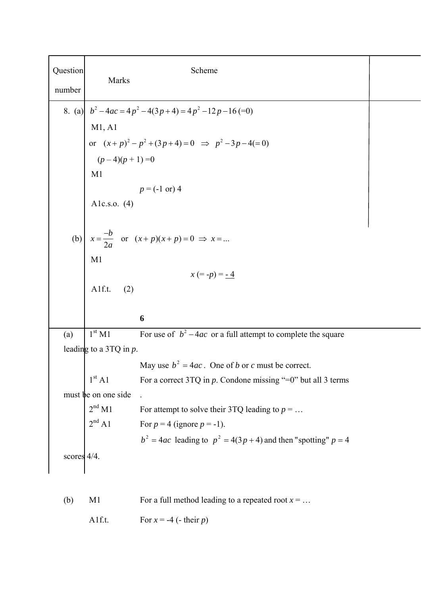| Question<br>number | Marks                     | Scheme                                                                           |  |
|--------------------|---------------------------|----------------------------------------------------------------------------------|--|
|                    |                           | 8. (a) $b^2-4ac = 4p^2-4(3p+4) = 4p^2-12p-16$ (=0)                               |  |
|                    | M1, A1                    |                                                                                  |  |
|                    |                           | or $(x+p)^2 - p^2 + (3p+4) = 0 \Rightarrow p^2 - 3p - 4(=0)$<br>$(p-4)(p+1) = 0$ |  |
|                    |                           |                                                                                  |  |
|                    | M1                        |                                                                                  |  |
|                    |                           | $p = (-1 \text{ or } 4)$                                                         |  |
|                    | Alc.s.o. $(4)$            |                                                                                  |  |
|                    |                           |                                                                                  |  |
| (b)                |                           | $x = \frac{-b}{2a}$ or $(x+p)(x+p) = 0 \implies x = $                            |  |
|                    | M1                        |                                                                                  |  |
|                    |                           | $x (= -p) = -4$                                                                  |  |
|                    | Alf.t.<br>(2)             |                                                                                  |  |
|                    |                           |                                                                                  |  |
|                    |                           | 6                                                                                |  |
| (a)                | 1 <sup>st</sup> M1        | For use of $b^2 - 4ac$ or a full attempt to complete the square                  |  |
|                    | leading to a 3TQ in $p$ . |                                                                                  |  |
|                    |                           | May use $b^2 = 4ac$ . One of b or c must be correct.                             |  |
|                    | 1 <sup>st</sup> A1        | For a correct 3TQ in $p$ . Condone missing "=0" but all 3 terms                  |  |
|                    | must be on one side       |                                                                                  |  |
|                    | 2 <sup>nd</sup> M1        | For attempt to solve their 3TQ leading to $p = $                                 |  |
|                    | $2^{\rm nd}$ A1           | For $p = 4$ (ignore $p = -1$ ).                                                  |  |
|                    |                           | $b2 = 4ac$ leading to $p2 = 4(3p + 4)$ and then "spotting" $p = 4$               |  |
| scores 4/4.        |                           |                                                                                  |  |
|                    |                           |                                                                                  |  |
|                    |                           |                                                                                  |  |
| (b)                | M <sub>1</sub>            | For a full method leading to a repeated root $x = $                              |  |

A1f.t. For  $x = -4$  (- their *p*)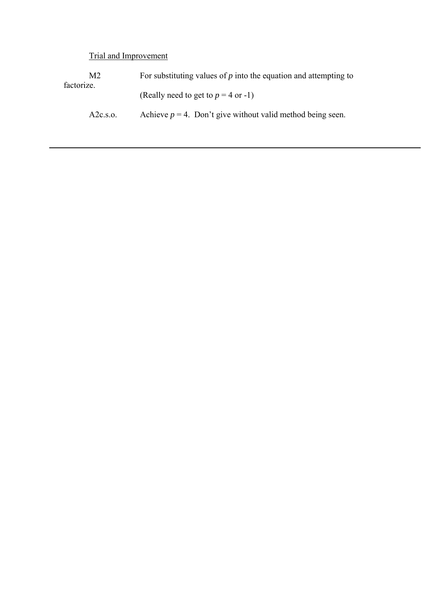Trial and Improvement

| M2.<br>factorize. | For substituting values of $p$ into the equation and attempting to |
|-------------------|--------------------------------------------------------------------|
|                   | (Really need to get to $p = 4$ or -1)                              |
| A2c.s.o.          | Achieve $p = 4$ . Don't give without valid method being seen.      |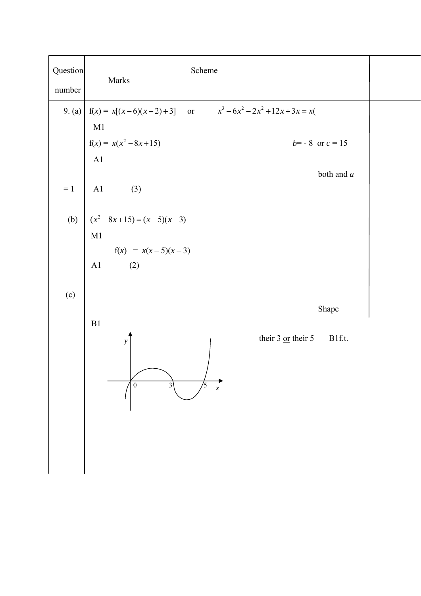| 9. (a) $  f(x) = x[(x-6)(x-2)+3]$ or $x^3-6x^2-2x^2+12x+3x = x($<br>M1<br>$f(x) = x(x^2 - 8x + 15)$<br>$b = -8$ or $c = 15$<br>A1<br>both and $a$<br>$= 1$   A1<br>(3)<br>(b) $(x^2-8x+15) = (x-5)(x-3)$<br>M1<br>$f(x) = x(x-5)(x-3)$<br>A1 (2)<br>(c)<br>Shape<br>B1<br>their $3 \underline{\text{or}}$ their $5$<br>B1f.t.<br>$\mathbf{y}$ | Question<br>Scheme<br>Marks<br>number |
|-----------------------------------------------------------------------------------------------------------------------------------------------------------------------------------------------------------------------------------------------------------------------------------------------------------------------------------------------|---------------------------------------|
|                                                                                                                                                                                                                                                                                                                                               |                                       |
|                                                                                                                                                                                                                                                                                                                                               |                                       |
|                                                                                                                                                                                                                                                                                                                                               |                                       |
|                                                                                                                                                                                                                                                                                                                                               |                                       |
|                                                                                                                                                                                                                                                                                                                                               |                                       |
|                                                                                                                                                                                                                                                                                                                                               |                                       |
|                                                                                                                                                                                                                                                                                                                                               |                                       |
| $\mathbf{0}$<br>$\chi$                                                                                                                                                                                                                                                                                                                        |                                       |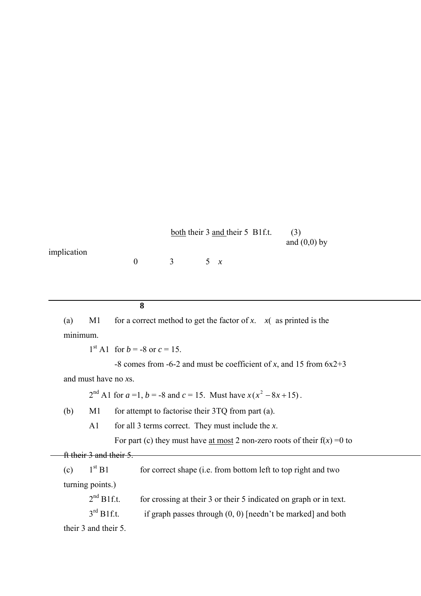|             |          | both their 3 and their 5 B1f.t. | (3)            |
|-------------|----------|---------------------------------|----------------|
|             |          |                                 | and $(0,0)$ by |
| implication |          |                                 |                |
|             | $\sim$ 3 | 5x                              |                |

**8** 

(a) M1 for a correct method to get the factor of *x*.  $x($  as printed is the minimum.

 $1^{\text{st}}$  A1 for  $b = -8$  or  $c = 15$ .

 -8 comes from -6-2 and must be coefficient of *x*, and 15 from 6x2+3 and must have no *x*s.

 $2<sup>nd</sup>$  A1 for  $a=1$ ,  $b=-8$  and  $c=15$ . Must have  $x(x^2-8x+15)$ .

(b) M1 for attempt to factorise their 3TQ from part (a).

A1 for all 3 terms correct. They must include the *x*.

For part (c) they must have <u>at most</u> 2 non-zero roots of their  $f(x) = 0$  to

ft their 3 and their 5.

| 1 <sup>st</sup> B1<br>(c) | for correct shape (i.e. from bottom left to top right and two     |
|---------------------------|-------------------------------------------------------------------|
| turning points.)          |                                                                   |
| $2nd$ B1f.t.              | for crossing at their 3 or their 5 indicated on graph or in text. |

 $3<sup>rd</sup>$  B1f.t. if graph passes through (0, 0) [needn't be marked] and both

their 3 and their 5.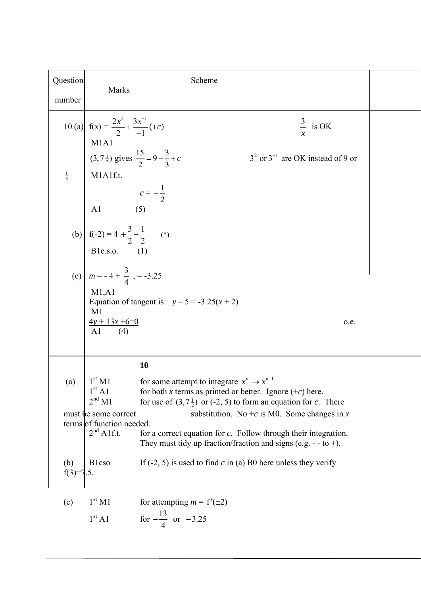| Question          |                                                                                                                                   | Scheme                                                                                                                                                                                      |  |
|-------------------|-----------------------------------------------------------------------------------------------------------------------------------|---------------------------------------------------------------------------------------------------------------------------------------------------------------------------------------------|--|
| number            | Marks                                                                                                                             |                                                                                                                                                                                             |  |
|                   | 10.(a) $f(x) = \frac{2x^2}{2} + \frac{3x^{-1}}{-1}(-c)$                                                                           | $-\frac{3}{ }$ is OK                                                                                                                                                                        |  |
|                   | M1A1<br>(3,7 $\frac{1}{2}$ ) gives $\frac{15}{2} = 9 - \frac{3}{3} + c$                                                           | $32$ or $3-1$ are OK instead of 9 or                                                                                                                                                        |  |
|                   |                                                                                                                                   |                                                                                                                                                                                             |  |
|                   | <sup>1</sup> / <sub>3</sub><br>M1A1f.t.<br><i>c</i> = $-\frac{1}{2}$<br>A1 (5)<br>(b) $f(-2) = 4 + \frac{3}{2} - \frac{1}{2}$ (*) |                                                                                                                                                                                             |  |
|                   |                                                                                                                                   |                                                                                                                                                                                             |  |
|                   | Blc.s.o. (1)<br>(c) $m = -4 + \frac{3}{4}$ , $= -3.25$                                                                            |                                                                                                                                                                                             |  |
|                   | M1,A1<br>M1                                                                                                                       | Equation of tangent is: $y-5 = -3.25(x+2)$                                                                                                                                                  |  |
|                   | $\frac{4y + 13x + 6}{0}$<br>Al (4)                                                                                                | 0.e.                                                                                                                                                                                        |  |
|                   |                                                                                                                                   | 10                                                                                                                                                                                          |  |
| (a)               | 1 <sup>st</sup> M1<br>1 <sup>st</sup> A1<br>2 <sup>nd</sup> M1                                                                    | for some attempt to integrate $x^n \to x^{n+1}$<br>for both x terms as printed or better. Ignore $(+c)$ here.<br>for use of $(3, 7\frac{1}{2})$ or (-2, 5) to form an equation for c. There |  |
|                   | must be some correct<br>terms of function needed.                                                                                 | substitution. No +c is M0. Some changes in x                                                                                                                                                |  |
|                   | $2nd$ Alf.t.                                                                                                                      | for a correct equation for $c$ . Follow through their integration.<br>They must tidy up fraction/fraction and signs (e.g. - - to +).                                                        |  |
| (b)<br>$f(3)=7.5$ | <b>B</b> lcso                                                                                                                     | If $(-2, 5)$ is used to find c in (a) B0 here unless they verify                                                                                                                            |  |
| (c)               | 1 <sup>st</sup> M1                                                                                                                | for attempting $m = f'(\pm 2)$                                                                                                                                                              |  |
|                   | 1 <sup>st</sup> A1                                                                                                                | for $-\frac{13}{4}$ or $-3.25$                                                                                                                                                              |  |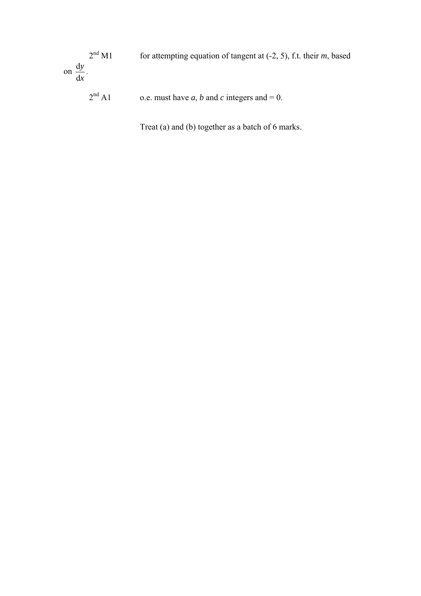2nd M1 for attempting equation of tangent at (-2, 5), f.t. their *m*, based on  $\frac{d}{dx}$ d *y*  $\frac{y}{x}$ .

 $2<sup>nd</sup>$  A1 o.e. must have *a*, *b* and *c* integers and = 0.

Treat (a) and (b) together as a batch of 6 marks.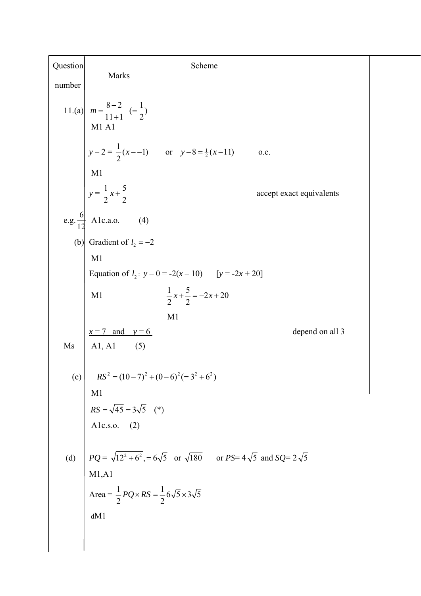| Question | Scheme                                                                                             |  |  |
|----------|----------------------------------------------------------------------------------------------------|--|--|
| number   | Marks                                                                                              |  |  |
|          | 11.(a) $m = \frac{8-2}{11+1} (= \frac{1}{2})$<br>M1A1                                              |  |  |
|          | $y-2=\frac{1}{2}(x-1)$ or $y-8=\frac{1}{2}(x-11)$<br>0.e.                                          |  |  |
|          | M1                                                                                                 |  |  |
|          | $y = \frac{1}{2}x + \frac{5}{2}$<br>accept exact equivalents                                       |  |  |
|          | e.g. $\frac{6}{12}$ Alc.a.o. (4)                                                                   |  |  |
|          | (b) Gradient of $l_2 = -2$                                                                         |  |  |
|          | M1                                                                                                 |  |  |
|          | Equation of $l_2$ : $y - 0 = -2(x - 10)$ [y = -2x + 20]                                            |  |  |
|          | $\frac{1}{2}x + \frac{5}{2} = -2x + 20$<br>M1                                                      |  |  |
|          | M1                                                                                                 |  |  |
|          | depend on all 3<br>$x = 7$ and $y = 6$                                                             |  |  |
| Ms       | $A1, A1$ (5)                                                                                       |  |  |
| (c)      | $RS^{2} = (10-7)^{2} + (0-6)^{2} (=3^{2} + 6^{2})$                                                 |  |  |
|          | M <sub>1</sub><br>$RS = \sqrt{45} = 3\sqrt{5}$ (*)<br>A1c.s.o. (2)                                 |  |  |
|          |                                                                                                    |  |  |
|          |                                                                                                    |  |  |
| (d)      | $PQ = \sqrt{12^2 + 6^2}$ , = 6 $\sqrt{5}$ or $\sqrt{180}$ or $PS = 4\sqrt{5}$ and $SQ = 2\sqrt{5}$ |  |  |
|          | M1, A1                                                                                             |  |  |
|          | Area = $\frac{1}{2}PQ \times RS = \frac{1}{2}6\sqrt{5} \times 3\sqrt{5}$                           |  |  |
|          | dM1                                                                                                |  |  |
|          |                                                                                                    |  |  |
|          |                                                                                                    |  |  |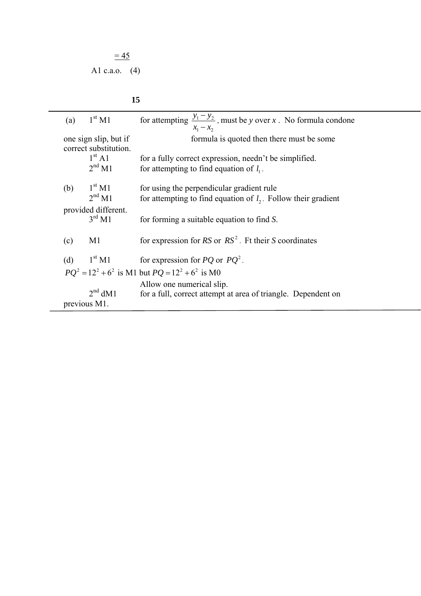$$
\frac{=45}{=}
$$

 $\overline{\phantom{a}}$ 

## **15**

| 1 <sup>st</sup> M1<br>(a)                                         | for attempting $\frac{y_1 - y_2}{x_1}$ , must be y over x. No formula condone<br>$x_1 - x_2$         |  |  |
|-------------------------------------------------------------------|------------------------------------------------------------------------------------------------------|--|--|
| one sign slip, but if                                             | formula is quoted then there must be some                                                            |  |  |
| correct substitution.<br>1 <sup>st</sup> A1<br>2 <sup>nd</sup> M1 | for a fully correct expression, needn't be simplified.<br>for attempting to find equation of $l_1$ . |  |  |
| 1 <sup>st</sup> M1<br>(b)                                         | for using the perpendicular gradient rule                                                            |  |  |
| 2 <sup>nd</sup> M1                                                | for attempting to find equation of $l_2$ . Follow their gradient                                     |  |  |
| provided different.<br>$3^{\text{rd}}$ M1                         | for forming a suitable equation to find S.                                                           |  |  |
| (c)<br>M <sub>1</sub>                                             | for expression for $RS$ or $RS^2$ . Ft their S coordinates                                           |  |  |
| $1^{\rm st}\, {\rm M1}$<br>(d)                                    | for expression for <i>PQ</i> or $PQ^2$ .                                                             |  |  |
| $PQ^2 = 12^2 + 6^2$ is M1 but $PQ = 12^2 + 6^2$ is M0             |                                                                                                      |  |  |
|                                                                   | Allow one numerical slip.                                                                            |  |  |
| $2nd$ dM1                                                         | for a full, correct attempt at area of triangle. Dependent on                                        |  |  |
| previous M1.                                                      |                                                                                                      |  |  |